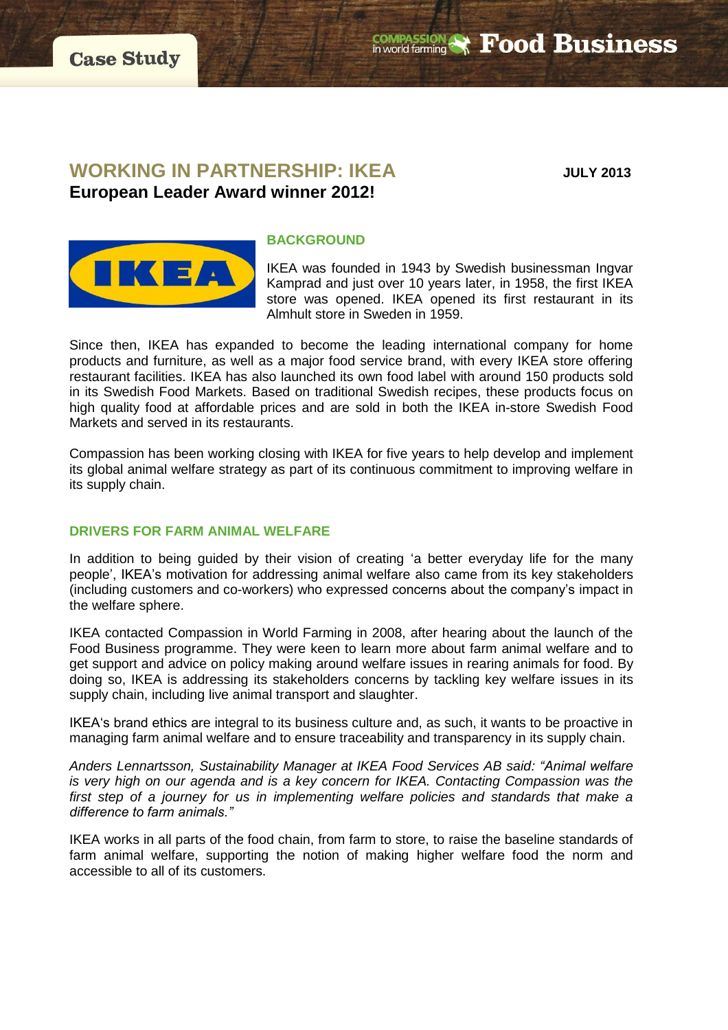**COMPASSION & Food Business** 

# **WORKING IN PARTNERSHIP: IKEA** JULY 2013

**European Leader Award winner 2012!**



#### **BACKGROUND**

IKEA was founded in 1943 by Swedish businessman Ingvar Kamprad and just over 10 years later, in 1958, the first IKEA store was opened. IKEA opened its first restaurant in its Almhult store in Sweden in 1959.

Since then, IKEA has expanded to become the leading international company for home products and furniture, as well as a major food service brand, with every IKEA store offering restaurant facilities. IKEA has also launched its own food label with around 150 products sold in its Swedish Food Markets. Based on traditional Swedish recipes, these products focus on high quality food at affordable prices and are sold in both the IKEA in-store Swedish Food Markets and served in its restaurants.

Compassion has been working closing with IKEA for five years to help develop and implement its global animal welfare strategy as part of its continuous commitment to improving welfare in its supply chain.

# **DRIVERS FOR FARM ANIMAL WELFARE**

In addition to being guided by their vision of creating 'a better everyday life for the many people', IKEA's motivation for addressing animal welfare also came from its key stakeholders (including customers and co-workers) who expressed concerns about the company's impact in the welfare sphere.

IKEA contacted Compassion in World Farming in 2008, after hearing about the launch of the Food Business programme. They were keen to learn more about farm animal welfare and to get support and advice on policy making around welfare issues in rearing animals for food. By doing so, IKEA is addressing its stakeholders concerns by tackling key welfare issues in its supply chain, including live animal transport and slaughter.

IKEA's brand ethics are integral to its business culture and, as such, it wants to be proactive in managing farm animal welfare and to ensure traceability and transparency in its supply chain.

*Anders Lennartsson, Sustainability Manager at IKEA Food Services AB said: "Animal welfare is very high on our agenda and is a key concern for IKEA. Contacting Compassion was the first step of a journey for us in implementing welfare policies and standards that make a difference to farm animals."*

IKEA works in all parts of the food chain, from farm to store, to raise the baseline standards of farm animal welfare, supporting the notion of making higher welfare food the norm and accessible to all of its customers.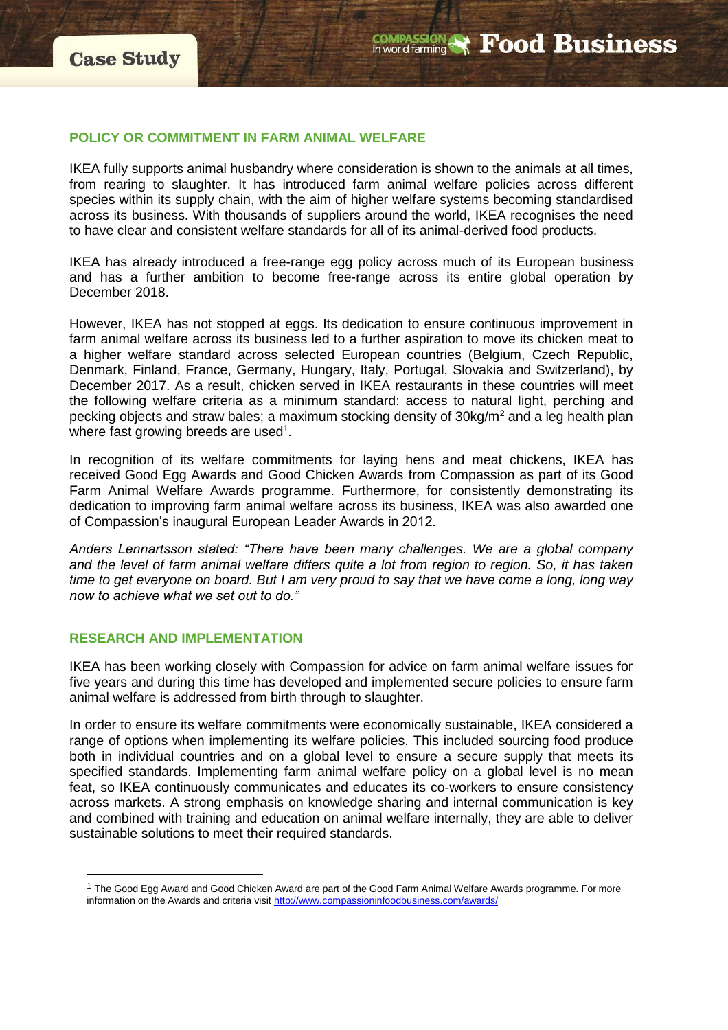#### **POLICY OR COMMITMENT IN FARM ANIMAL WELFARE**

IKEA fully supports animal husbandry where consideration is shown to the animals at all times, from rearing to slaughter. It has introduced farm animal welfare policies across different species within its supply chain, with the aim of higher welfare systems becoming standardised across its business. With thousands of suppliers around the world, IKEA recognises the need to have clear and consistent welfare standards for all of its animal-derived food products.

IKEA has already introduced a free-range egg policy across much of its European business and has a further ambition to become free-range across its entire global operation by December 2018.

However, IKEA has not stopped at eggs. Its dedication to ensure continuous improvement in farm animal welfare across its business led to a further aspiration to move its chicken meat to a higher welfare standard across selected European countries (Belgium, Czech Republic, Denmark, Finland, France, Germany, Hungary, Italy, Portugal, Slovakia and Switzerland), by December 2017. As a result, chicken served in IKEA restaurants in these countries will meet the following welfare criteria as a minimum standard: access to natural light, perching and pecking objects and straw bales; a maximum stocking density of 30kg/m<sup>2</sup> and a leg health plan where fast growing breeds are used<sup>1</sup>.

In recognition of its welfare commitments for laying hens and meat chickens, IKEA has received Good Egg Awards and Good Chicken Awards from Compassion as part of its Good Farm Animal Welfare Awards programme. Furthermore, for consistently demonstrating its dedication to improving farm animal welfare across its business, IKEA was also awarded one of Compassion's inaugural European Leader Awards in 2012.

*Anders Lennartsson stated: "There have been many challenges. We are a global company and the level of farm animal welfare differs quite a lot from region to region. So, it has taken time to get everyone on board. But I am very proud to say that we have come a long, long way now to achieve what we set out to do."*

## **RESEARCH AND IMPLEMENTATION**

 $\overline{a}$ 

IKEA has been working closely with Compassion for advice on farm animal welfare issues for five years and during this time has developed and implemented secure policies to ensure farm animal welfare is addressed from birth through to slaughter.

In order to ensure its welfare commitments were economically sustainable, IKEA considered a range of options when implementing its welfare policies. This included sourcing food produce both in individual countries and on a global level to ensure a secure supply that meets its specified standards. Implementing farm animal welfare policy on a global level is no mean feat, so IKEA continuously communicates and educates its co-workers to ensure consistency across markets. A strong emphasis on knowledge sharing and internal communication is key and combined with training and education on animal welfare internally, they are able to deliver sustainable solutions to meet their required standards.

<sup>1</sup> The Good Egg Award and Good Chicken Award are part of the Good Farm Animal Welfare Awards programme. For more information on the Awards and criteria visit<http://www.compassioninfoodbusiness.com/awards/>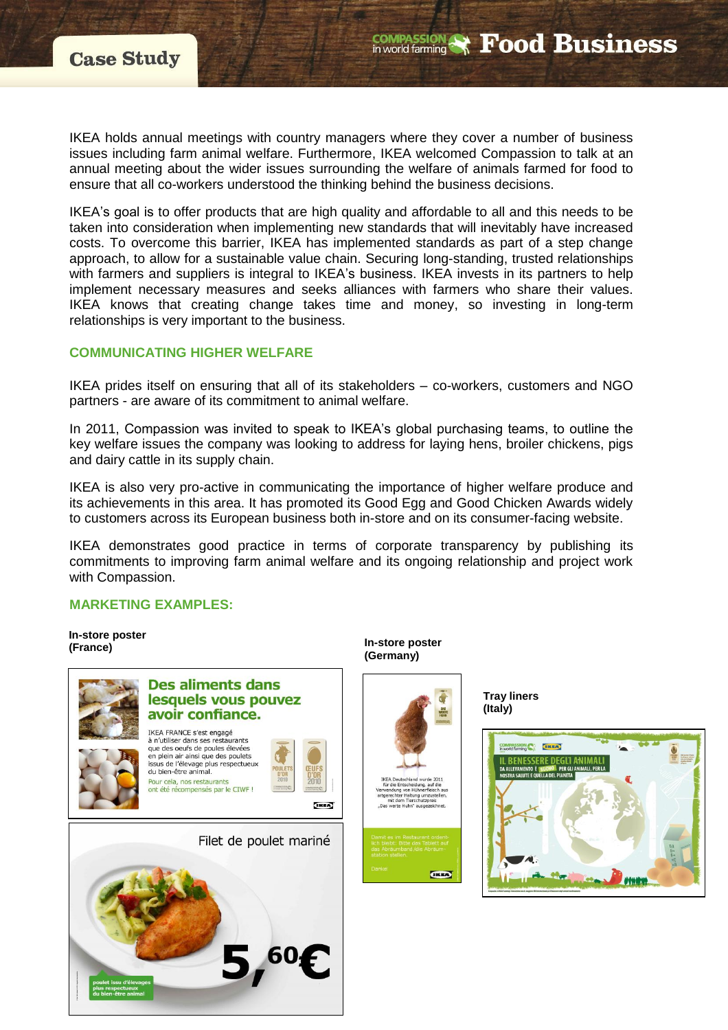IKEA holds annual meetings with country managers where they cover a number of business issues including farm animal welfare. Furthermore, IKEA welcomed Compassion to talk at an annual meeting about the wider issues surrounding the welfare of animals farmed for food to ensure that all co-workers understood the thinking behind the business decisions.

IKEA's goal is to offer products that are high quality and affordable to all and this needs to be taken into consideration when implementing new standards that will inevitably have increased costs. To overcome this barrier, IKEA has implemented standards as part of a step change approach, to allow for a sustainable value chain. Securing long-standing, trusted relationships with farmers and suppliers is integral to IKEA's business. IKEA invests in its partners to help implement necessary measures and seeks alliances with farmers who share their values. IKEA knows that creating change takes time and money, so investing in long-term relationships is very important to the business.

### **COMMUNICATING HIGHER WELFARE**

IKEA prides itself on ensuring that all of its stakeholders – co-workers, customers and NGO partners - are aware of its commitment to animal welfare.

In 2011, Compassion was invited to speak to IKEA's global purchasing teams, to outline the key welfare issues the company was looking to address for laying hens, broiler chickens, pigs and dairy cattle in its supply chain.

IKEA is also very pro-active in communicating the importance of higher welfare produce and its achievements in this area. It has promoted its Good Egg and Good Chicken Awards widely to customers across its European business both in-store and on its consumer-facing website.

IKEA demonstrates good practice in terms of corporate transparency by publishing its commitments to improving farm animal welfare and its ongoing relationship and project work with Compassion.

### **MARKETING EXAMPLES:**

**In-store poster (France)**



**In-store poster (Germany)**





**COMPASSION & Food Business** 

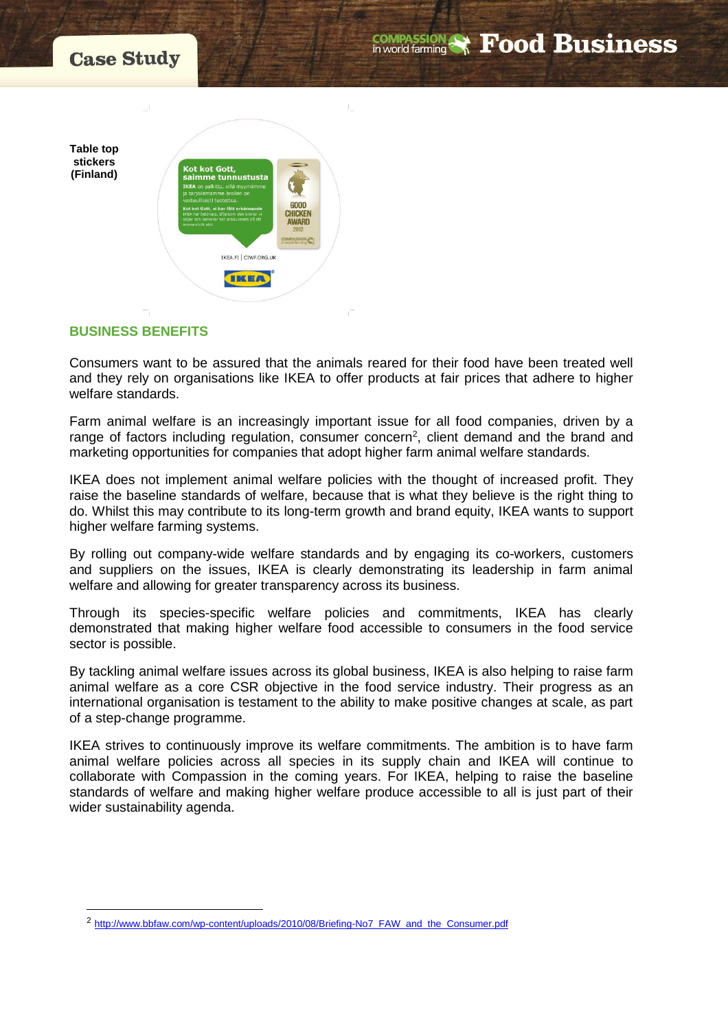



## **BUSINESS BENEFITS**

 $\overline{a}$ 

Consumers want to be assured that the animals reared for their food have been treated well and they rely on organisations like IKEA to offer products at fair prices that adhere to higher welfare standards.

Farm animal welfare is an increasingly important issue for all food companies, driven by a range of factors including regulation, consumer concern<sup>2</sup>, client demand and the brand and marketing opportunities for companies that adopt higher farm animal welfare standards.

IKEA does not implement animal welfare policies with the thought of increased profit. They raise the baseline standards of welfare, because that is what they believe is the right thing to do. Whilst this may contribute to its long-term growth and brand equity, IKEA wants to support higher welfare farming systems.

By rolling out company-wide welfare standards and by engaging its co-workers, customers and suppliers on the issues, IKEA is clearly demonstrating its leadership in farm animal welfare and allowing for greater transparency across its business.

Through its species-specific welfare policies and commitments, IKEA has clearly demonstrated that making higher welfare food accessible to consumers in the food service sector is possible.

By tackling animal welfare issues across its global business, IKEA is also helping to raise farm animal welfare as a core CSR objective in the food service industry. Their progress as an international organisation is testament to the ability to make positive changes at scale, as part of a step-change programme.

IKEA strives to continuously improve its welfare commitments. The ambition is to have farm animal welfare policies across all species in its supply chain and IKEA will continue to collaborate with Compassion in the coming years. For IKEA, helping to raise the baseline standards of welfare and making higher welfare produce accessible to all is just part of their wider sustainability agenda.

<sup>2</sup> [http://www.bbfaw.com/wp-content/uploads/2010/08/Briefing-No7\\_FAW\\_and\\_the\\_Consumer.pdf](http://www.bbfaw.com/wp-content/uploads/2010/08/Briefing-No7_FAW_and_the_Consumer.pdf)